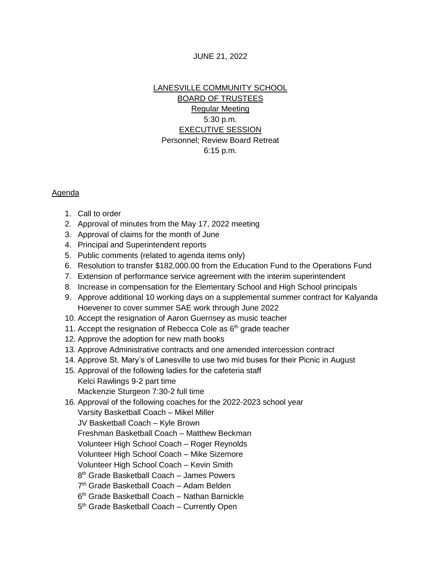## JUNE 21, 2022

## LANESVILLE COMMUNITY SCHOOL BOARD OF TRUSTEES Regular Meeting 5:30 p.m. EXECUTIVE SESSION Personnel; Review Board Retreat 6:15 p.m.

## Agenda

- 1. Call to order
- 2. Approval of minutes from the May 17, 2022 meeting
- 3. Approval of claims for the month of June
- 4. Principal and Superintendent reports
- 5. Public comments (related to agenda items only)
- 6. Resolution to transfer \$182,000.00 from the Education Fund to the Operations Fund
- 7. Extension of performance service agreement with the interim superintendent
- 8. Increase in compensation for the Elementary School and High School principals
- 9. Approve additional 10 working days on a supplemental summer contract for Kalyanda Hoevener to cover summer SAE work through June 2022
- 10. Accept the resignation of Aaron Guernsey as music teacher
- 11. Accept the resignation of Rebecca Cole as 6<sup>th</sup> grade teacher
- 12. Approve the adoption for new math books
- 13. Approve Administrative contracts and one amended intercession contract
- 14. Approve St. Mary's of Lanesville to use two mid buses for their Picnic in August
- 15. Approval of the following ladies for the cafeteria staff Kelci Rawlings 9-2 part time
	- Mackenzie Sturgeon 7:30-2 full time
- 16. Approval of the following coaches for the 2022-2023 school year
	- Varsity Basketball Coach Mikel Miller
	- JV Basketball Coach Kyle Brown
	- Freshman Basketball Coach Matthew Beckman
	- Volunteer High School Coach Roger Reynolds
	- Volunteer High School Coach Mike Sizemore
	- Volunteer High School Coach Kevin Smith
	- 8 th Grade Basketball Coach James Powers
	- 7<sup>th</sup> Grade Basketball Coach Adam Belden
	- 6 th Grade Basketball Coach Nathan Barnickle
	- 5<sup>th</sup> Grade Basketball Coach Currently Open